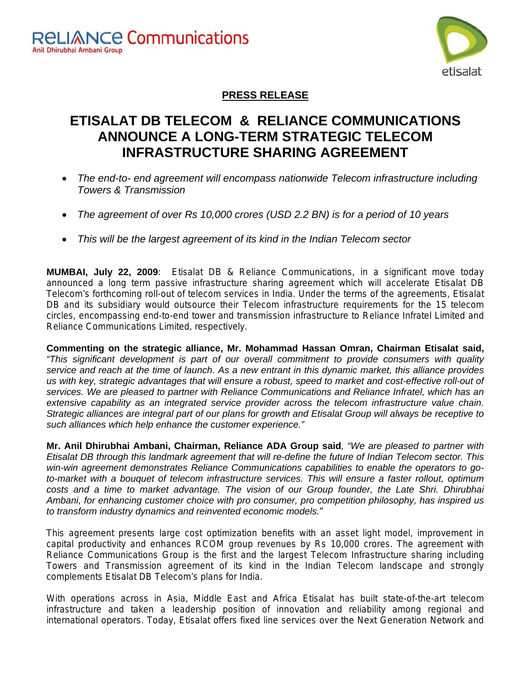

### **PRESS RELEASE**

# **ETISALAT DB TELECOM & RELIANCE COMMUNICATIONS ANNOUNCE A LONG-TERM STRATEGIC TELECOM INFRASTRUCTURE SHARING AGREEMENT**

- *The end-to- end agreement will encompass nationwide Telecom infrastructure including Towers & Transmission*
- *The agreement of over Rs 10,000 crores (USD 2.2 BN) is for a period of 10 years*
- *This will be the largest agreement of its kind in the Indian Telecom sector*

**MUMBAI, July 22, 2009**: Etisalat DB & Reliance Communications, in a significant move today announced a long term passive infrastructure sharing agreement which will accelerate Etisalat DB Telecom's forthcoming roll-out of telecom services in India. Under the terms of the agreements, Etisalat DB and its subsidiary would outsource their Telecom infrastructure requirements for the 15 telecom circles, encompassing end-to-end tower and transmission infrastructure to Reliance Infratel Limited and Reliance Communications Limited, respectively.

**Commenting on the strategic alliance, Mr. Mohammad Hassan Omran, Chairman Etisalat said,**  *"This significant development is part of our overall commitment to provide consumers with quality service and reach at the time of launch. As a new entrant in this dynamic market, this alliance provides us with key, strategic advantages that will ensure a robust, speed to market and cost-effective roll-out of services. We are pleased to partner with Reliance Communications and Reliance Infratel, which has an extensive capability as an integrated service provider across the telecom infrastructure value chain. Strategic alliances are integral part of our plans for growth and Etisalat Group will always be receptive to such alliances which help enhance the customer experience."*

**Mr. Anil Dhirubhai Ambani, Chairman, Reliance ADA Group said***, "We are pleased to partner with Etisalat DB through this landmark agreement that will re-define the future of Indian Telecom sector. This win-win agreement demonstrates Reliance Communications capabilities to enable the operators to goto-market with a bouquet of telecom infrastructure services. This will ensure a faster rollout, optimum costs and a time to market advantage. The vision of our Group founder, the Late Shri. Dhirubhai Ambani, for enhancing customer choice with pro consumer, pro competition philosophy, has inspired us to transform industry dynamics and reinvented economic models.*"

This agreement presents large cost optimization benefits with an asset light model, improvement in capital productivity and enhances RCOM group revenues by Rs 10,000 crores. The agreement with Reliance Communications Group is the first and the largest Telecom Infrastructure sharing including Towers and Transmission agreement of its kind in the Indian Telecom landscape and strongly complements Etisalat DB Telecom's plans for India.

With operations across in Asia, Middle East and Africa Etisalat has built state-of-the-art telecom infrastructure and taken a leadership position of innovation and reliability among regional and international operators. Today, Etisalat offers fixed line services over the Next Generation Network and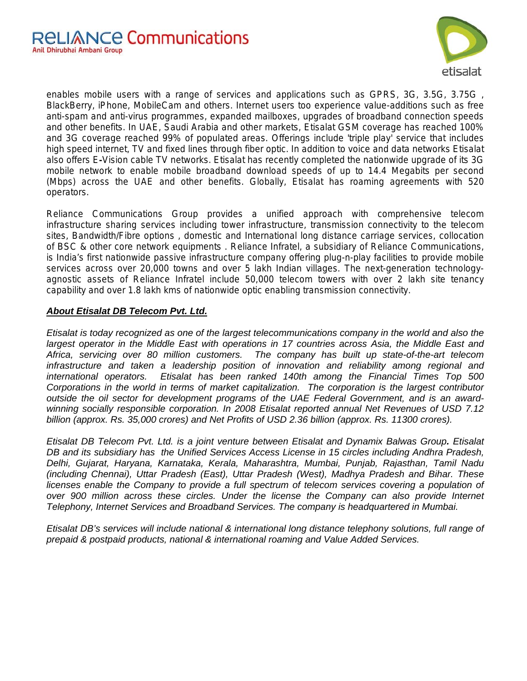

enables mobile users with a range of services and applications such as GPRS, 3G, 3.5G, 3.75G , BlackBerry, iPhone, MobileCam and others. Internet users too experience value-additions such as free anti-spam and anti-virus programmes, expanded mailboxes, upgrades of broadband connection speeds and other benefits. In UAE, Saudi Arabia and other markets, Etisalat GSM coverage has reached 100% and 3G coverage reached 99% of populated areas. Offerings include 'triple play' service that includes high speed internet, TV and fixed lines through fiber optic. In addition to voice and data networks Etisalat also offers E**-**Vision cable TV networks. Etisalat has recently completed the nationwide upgrade of its 3G mobile network to enable mobile broadband download speeds of up to 14.4 Megabits per second (Mbps) across the UAE and other benefits. Globally, Etisalat has roaming agreements with 520 operators.

Reliance Communications Group provides a unified approach with comprehensive telecom infrastructure sharing services including tower infrastructure, transmission connectivity to the telecom sites, Bandwidth/Fibre options , domestic and International long distance carriage services, collocation of BSC & other core network equipments . Reliance Infratel, a subsidiary of Reliance Communications, is India's first nationwide passive infrastructure company offering plug-n-play facilities to provide mobile services across over 20,000 towns and over 5 lakh Indian villages. The next-generation technologyagnostic assets of Reliance Infratel include 50,000 telecom towers with over 2 lakh site tenancy capability and over 1.8 lakh kms of nationwide optic enabling transmission connectivity.

### *About Etisalat DB Telecom Pvt. Ltd.*

*Etisalat is today recognized as one of the largest telecommunications company in the world and also the largest operator in the Middle East with operations in 17 countries across Asia, the Middle East and Africa, servicing over 80 million customers. The company has built up state-of-the-art telecom infrastructure and taken a leadership position of innovation and reliability among regional and international operators. Etisalat has been ranked 140th among the Financial Times Top 500 Corporations in the world in terms of market capitalization. The corporation is the largest contributor outside the oil sector for development programs of the UAE Federal Government, and is an awardwinning socially responsible corporation. In 2008 Etisalat reported annual Net Revenues of USD 7.12 billion (approx. Rs. 35,000 crores) and Net Profits of USD 2.36 billion (approx. Rs. 11300 crores).* 

*Etisalat DB Telecom Pvt. Ltd. is a joint venture between Etisalat and Dynamix Balwas Group. Etisalat DB and its subsidiary has the Unified Services Access License in 15 circles including Andhra Pradesh, Delhi, Gujarat, Haryana, Karnataka, Kerala, Maharashtra, Mumbai, Punjab, Rajasthan, Tamil Nadu (including Chennai), Uttar Pradesh (East), Uttar Pradesh (West), Madhya Pradesh and Bihar. These licenses enable the Company to provide a full spectrum of telecom services covering a population of over 900 million across these circles. Under the license the Company can also provide Internet Telephony, Internet Services and Broadband Services. The company is headquartered in Mumbai.* 

*Etisalat DB's services will include national & international long distance telephony solutions, full range of prepaid & postpaid products, national & international roaming and Value Added Services.*